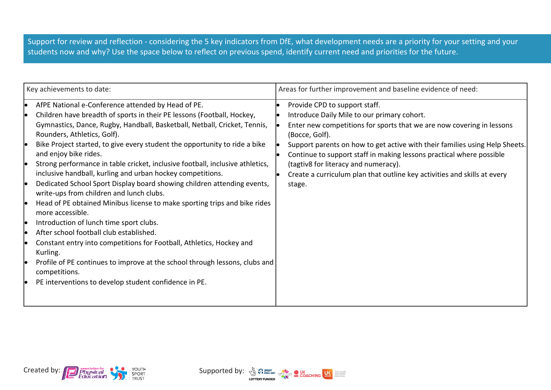Support for review and reflection - considering the 5 key indicators from DfE, what development needs are a priority for your setting and your students now and why? Use the space below to reflect on previous spend, identify current need and priorities for the future.

| Key achievements to date:                                                                                                                                                                                                                                                                                                                                                                                                                                                                                                                                                                                                                                                                                                                                                                                                                                                                                                                                                                                                                                 | Areas for further improvement and baseline evidence of need:                                                                                                                                                                                                                                                                                                                                                                                                 |
|-----------------------------------------------------------------------------------------------------------------------------------------------------------------------------------------------------------------------------------------------------------------------------------------------------------------------------------------------------------------------------------------------------------------------------------------------------------------------------------------------------------------------------------------------------------------------------------------------------------------------------------------------------------------------------------------------------------------------------------------------------------------------------------------------------------------------------------------------------------------------------------------------------------------------------------------------------------------------------------------------------------------------------------------------------------|--------------------------------------------------------------------------------------------------------------------------------------------------------------------------------------------------------------------------------------------------------------------------------------------------------------------------------------------------------------------------------------------------------------------------------------------------------------|
| AfPE National e-Conference attended by Head of PE.<br>Children have breadth of sports in their PE lessons (Football, Hockey,<br>Gymnastics, Dance, Rugby, Handball, Basketball, Netball, Cricket, Tennis,<br>Rounders, Athletics, Golf).<br>Bike Project started, to give every student the opportunity to ride a bike<br>and enjoy bike rides.<br>Strong performance in table cricket, inclusive football, inclusive athletics,<br>inclusive handball, kurling and urban hockey competitions.<br>Dedicated School Sport Display board showing children attending events,<br>write-ups from children and lunch clubs.<br>Head of PE obtained Minibus license to make sporting trips and bike rides<br>more accessible.<br>Introduction of lunch time sport clubs.<br>After school football club established.<br>Constant entry into competitions for Football, Athletics, Hockey and<br>Kurling.<br>Profile of PE continues to improve at the school through lessons, clubs and<br>competitions.<br>PE interventions to develop student confidence in PE. | Provide CPD to support staff.<br>Introduce Daily Mile to our primary cohort.<br>Enter new competitions for sports that we are now covering in lessons<br>(Bocce, Golf).<br>Support parents on how to get active with their families using Help Sheets.<br>Continue to support staff in making lessons practical where possible<br>(tagtiv8 for literacy and numeracy).<br>Create a curriculum plan that outline key activities and skills at every<br>stage. |



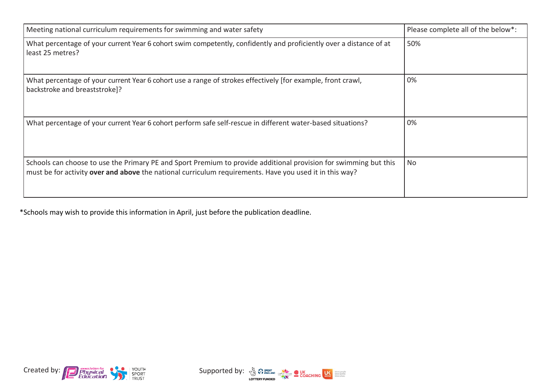| Meeting national curriculum requirements for swimming and water safety                                                                                                                                                      | Please complete all of the below*: |
|-----------------------------------------------------------------------------------------------------------------------------------------------------------------------------------------------------------------------------|------------------------------------|
| What percentage of your current Year 6 cohort swim competently, confidently and proficiently over a distance of at<br>least 25 metres?                                                                                      | 50%                                |
| What percentage of your current Year 6 cohort use a range of strokes effectively [for example, front crawl,<br>backstroke and breaststroke]?                                                                                | 0%                                 |
| What percentage of your current Year 6 cohort perform safe self-rescue in different water-based situations?                                                                                                                 | 0%                                 |
| Schools can choose to use the Primary PE and Sport Premium to provide additional provision for swimming but this<br>must be for activity over and above the national curriculum requirements. Have you used it in this way? | No.                                |

\*Schools may wish to provide this information in April, just before the publication deadline.



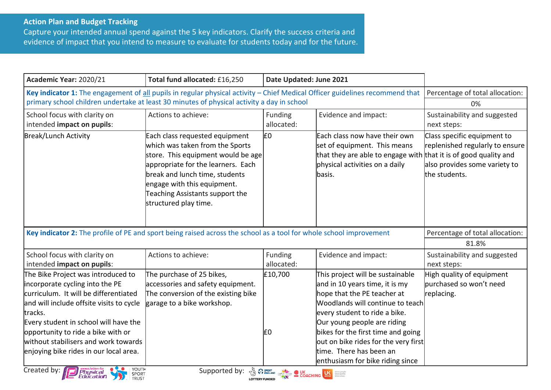Capture your intended annual spend against the 5 key indicators. Clarify the success criteria and evidence of impact that you intend to measure to evaluate for students today and for the future.

| Academic Year: 2020/21                                                                                                                                       | Total fund allocated: £16,250       | Date Updated: June 2021                                                                  |                                                                  |                                 |
|--------------------------------------------------------------------------------------------------------------------------------------------------------------|-------------------------------------|------------------------------------------------------------------------------------------|------------------------------------------------------------------|---------------------------------|
| Key indicator 1: The engagement of all pupils in regular physical activity – Chief Medical Officer guidelines recommend that Percentage of total allocation: |                                     |                                                                                          |                                                                  |                                 |
| primary school children undertake at least 30 minutes of physical activity a day in school                                                                   |                                     |                                                                                          |                                                                  | 0%                              |
| School focus with clarity on                                                                                                                                 | Actions to achieve:                 | Funding                                                                                  | Evidence and impact:                                             | Sustainability and suggested    |
| intended impact on pupils:                                                                                                                                   |                                     | allocated:                                                                               |                                                                  | next steps:                     |
| <b>Break/Lunch Activity</b>                                                                                                                                  | Each class requested equipment      | l£0                                                                                      | Each class now have their own                                    | Class specific equipment to     |
|                                                                                                                                                              | which was taken from the Sports     |                                                                                          | set of equipment. This means                                     | replenished regularly to ensure |
|                                                                                                                                                              | store. This equipment would be age  |                                                                                          | that they are able to engage with that it is of good quality and |                                 |
|                                                                                                                                                              | appropriate for the learners. Each  |                                                                                          | physical activities on a daily                                   | also provides some variety to   |
|                                                                                                                                                              | break and lunch time, students      |                                                                                          | basis.                                                           | the students.                   |
|                                                                                                                                                              | engage with this equipment.         |                                                                                          |                                                                  |                                 |
|                                                                                                                                                              | Teaching Assistants support the     |                                                                                          |                                                                  |                                 |
|                                                                                                                                                              | structured play time.               |                                                                                          |                                                                  |                                 |
|                                                                                                                                                              |                                     |                                                                                          |                                                                  |                                 |
| Key indicator 2: The profile of PE and sport being raised across the school as a tool for whole school improvement                                           |                                     |                                                                                          |                                                                  |                                 |
|                                                                                                                                                              |                                     |                                                                                          |                                                                  | Percentage of total allocation: |
|                                                                                                                                                              |                                     |                                                                                          |                                                                  | 81.8%                           |
| School focus with clarity on                                                                                                                                 | Actions to achieve:                 | Funding                                                                                  | Evidence and impact:                                             | Sustainability and suggested    |
| intended impact on pupils:                                                                                                                                   |                                     | allocated:                                                                               |                                                                  | next steps:                     |
| The Bike Project was introduced to                                                                                                                           | The purchase of 25 bikes,           | £10,700                                                                                  | This project will be sustainable                                 | High quality of equipment       |
| incorporate cycling into the PE                                                                                                                              | accessories and safety equipment.   |                                                                                          | and in 10 years time, it is my                                   | burchased so won't need         |
| curriculum. It will be differentiated                                                                                                                        | The conversion of the existing bike |                                                                                          | hope that the PE teacher at                                      | replacing.                      |
| and will include offsite visits to cycle                                                                                                                     | garage to a bike workshop.          |                                                                                          | Woodlands will continue to teach                                 |                                 |
| tracks.                                                                                                                                                      |                                     |                                                                                          | every student to ride a bike.                                    |                                 |
| Every student in school will have the                                                                                                                        |                                     |                                                                                          | Our young people are riding                                      |                                 |
| opportunity to ride a bike with or                                                                                                                           |                                     | E <sub>0</sub>                                                                           | bikes for the first time and going                               |                                 |
| without stabilisers and work towards                                                                                                                         |                                     |                                                                                          | out on bike rides for the very first                             |                                 |
| enjoying bike rides in our local area.                                                                                                                       |                                     |                                                                                          | time. There has been an                                          |                                 |
| Created by:<br>YOUTH<br><b>Physical</b><br>Education                                                                                                         | Supported by:                       | <b>A SPORT SPORT OF BUILDING COACHING CONSTRUCTION OF BUILDING COACHING CONSTRUCTION</b> | enthusiasm for bike riding since                                 |                                 |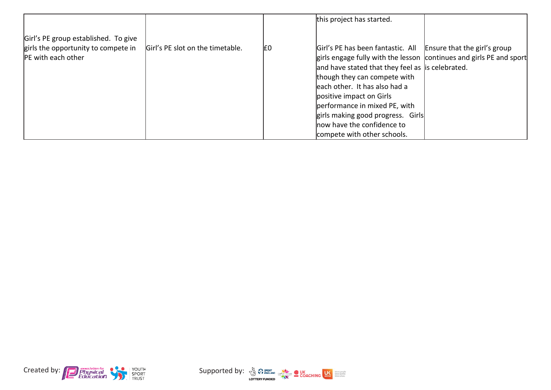|                                      |                                  |     | this project has started.                                                                                                                               |  |
|--------------------------------------|----------------------------------|-----|---------------------------------------------------------------------------------------------------------------------------------------------------------|--|
| Girl's PE group established. To give |                                  |     |                                                                                                                                                         |  |
| girls the opportunity to compete in  | Girl's PE slot on the timetable. | I£0 | $\left  \frac{\text{G}}{\text{G}} \right $ SPE has been fantastic. All $\left  \frac{\text{E} \text{S}}{\text{E}} \right $ Ensure that the girl's group |  |
| <b>PE</b> with each other            |                                  |     | girls engage fully with the lesson continues and girls PE and sport                                                                                     |  |
|                                      |                                  |     | and have stated that they feel as is celebrated.                                                                                                        |  |
|                                      |                                  |     | though they can compete with                                                                                                                            |  |
|                                      |                                  |     | leach other. It has also had a                                                                                                                          |  |
|                                      |                                  |     | positive impact on Girls                                                                                                                                |  |
|                                      |                                  |     | performance in mixed PE, with                                                                                                                           |  |
|                                      |                                  |     | girls making good progress. Girls                                                                                                                       |  |
|                                      |                                  |     | now have the confidence to                                                                                                                              |  |
|                                      |                                  |     | compete with other schools.                                                                                                                             |  |



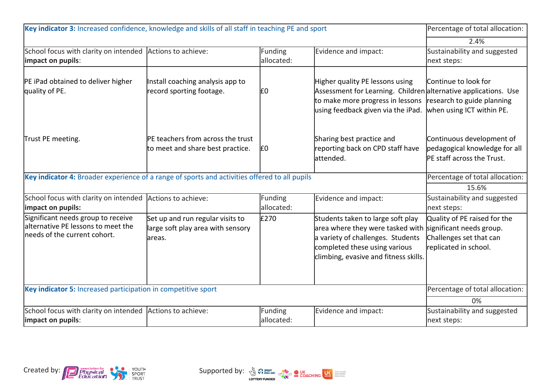| Key indicator 3: Increased confidence, knowledge and skills of all staff in teaching PE and sport        |                                                                                  |                       |                                                                                                                                                                                      | Percentage of total allocation:                                                                              |
|----------------------------------------------------------------------------------------------------------|----------------------------------------------------------------------------------|-----------------------|--------------------------------------------------------------------------------------------------------------------------------------------------------------------------------------|--------------------------------------------------------------------------------------------------------------|
|                                                                                                          |                                                                                  |                       |                                                                                                                                                                                      | 2.4%                                                                                                         |
| School focus with clarity on intended Actions to achieve:<br>impact on pupils:                           |                                                                                  | Funding<br>allocated: | Evidence and impact:                                                                                                                                                                 | Sustainability and suggested<br>next steps:                                                                  |
| PE iPad obtained to deliver higher<br>quality of PE.                                                     | Install coaching analysis app to<br>record sporting footage.                     | £0                    | Higher quality PE lessons using<br>Assessment for Learning. Children alternative applications. Use<br>to make more progress in lessons<br>using feedback given via the iPad.         | Continue to look for<br>research to guide planning<br>when using ICT within PE.                              |
| Trust PE meeting.                                                                                        | <b>PE teachers from across the trust</b><br>to meet and share best practice.     | ١£٥                   | Sharing best practice and<br>reporting back on CPD staff have<br>lattended.                                                                                                          | Continuous development of<br>pedagogical knowledge for all<br>PE staff across the Trust.                     |
| Key indicator 4: Broader experience of a range of sports and activities offered to all pupils            |                                                                                  |                       |                                                                                                                                                                                      | Percentage of total allocation:                                                                              |
|                                                                                                          |                                                                                  |                       |                                                                                                                                                                                      | 15.6%                                                                                                        |
| School focus with clarity on intended Actions to achieve:<br>impact on pupils:                           |                                                                                  | Funding<br>allocated: | Evidence and impact:                                                                                                                                                                 | Sustainability and suggested<br>next steps:                                                                  |
| Significant needs group to receive<br>alternative PE lessons to meet the<br>needs of the current cohort. | Set up and run regular visits to<br>large soft play area with sensory<br>lareas. | £270                  | Students taken to large soft play<br>area where they were tasked with<br>a variety of challenges. Students<br>completed these using various<br>climbing, evasive and fitness skills. | Quality of PE raised for the<br>significant needs group.<br>Challenges set that can<br>replicated in school. |
| Key indicator 5: Increased participation in competitive sport                                            |                                                                                  |                       |                                                                                                                                                                                      | Percentage of total allocation:                                                                              |
|                                                                                                          |                                                                                  |                       |                                                                                                                                                                                      | 0%                                                                                                           |
| School focus with clarity on intended Actions to achieve:<br>impact on pupils:                           |                                                                                  | Funding<br>allocated: | Evidence and impact:                                                                                                                                                                 | Sustainability and suggested<br>next steps:                                                                  |